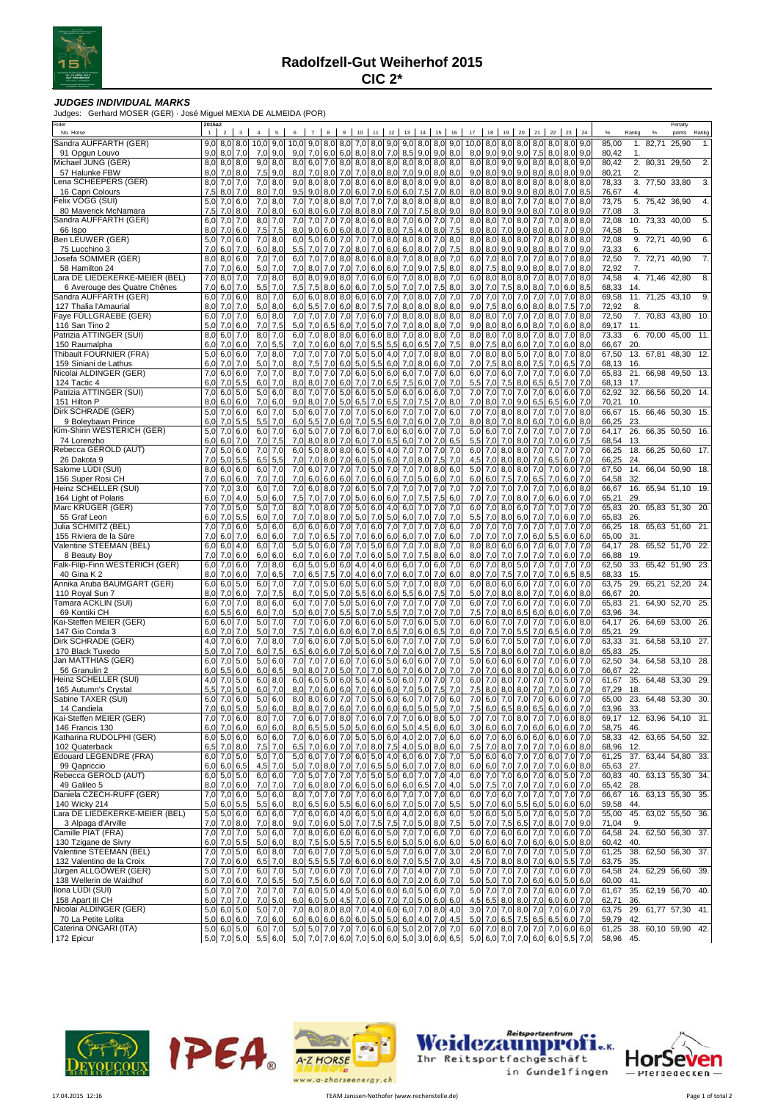

## **JUDGES INDIVIDUAL MARKS**

Judges: Gerhard MOSER (GER) · José Miguel MEXIA DE ALMEIDA (POR)

| Rider<br>No. Horse                                             | 2015a2<br>$\overline{1}$       | 2 <sup>1</sup>   | $\overline{3}$  | $\overline{4}$ | 5                      | 6                                    | 7          | 8                    |           | 9 10          | 11                                                                                     |            | 12 13 14        |                   |            | 15 16      | 17                              |                   | 18  19     |                                                                    |                | 20 21 22 23         |                  | 24         |                    | Rankg      | $\frac{9}{6}$             | Penalty<br>points | Rankg |
|----------------------------------------------------------------|--------------------------------|------------------|-----------------|----------------|------------------------|--------------------------------------|------------|----------------------|-----------|---------------|----------------------------------------------------------------------------------------|------------|-----------------|-------------------|------------|------------|---------------------------------|-------------------|------------|--------------------------------------------------------------------|----------------|---------------------|------------------|------------|--------------------|------------|---------------------------|-------------------|-------|
| Sandra AUFFARTH (GER)                                          |                                |                  | $9,0$ 8,0 8,0   | $10,0$ 9.0     |                        | 10,0 9,0 8,0 8,0 7,0 8,0 9,0 9,0 8,0 |            |                      |           |               |                                                                                        |            |                 |                   |            | $8.0$ 9.0  | 10.0                            |                   |            | 8.0 8.0 8.0 8.0 8.0 8.0 9.0                                        |                |                     |                  |            | 85,00              | 1.         | 82,71 25,90               |                   | 1.    |
| 91 Opgun Louvo                                                 | 9,0                            | $8,0$ 7,0        |                 | 7,0            | 9,0                    | 9,0                                  |            |                      |           |               | 7.0 6.0 6,0 8,0 8,0 7,0 8,5 9,0 9,0                                                    |            |                 |                   |            | 8,0        | 8,0                             | 9,0               |            | $9.0$ $9.0$ $7.5$ $8.0$ $8.0$ $9.0$                                |                |                     |                  |            | 80,42              | 1.         |                           |                   |       |
| Michael JUNG (GER)                                             | $8,0$ $8,0$ $8,0$              |                  |                 |                | $9,0$ 8.0              |                                      |            |                      |           |               | 8,0 6,0 7,0 8,0 8,0 8,0 8,0 8,0 8,0 8,0 8,0 8,0                                        |            |                 |                   |            |            |                                 |                   |            | 8,0 8,0 9,0 9,0 8,0 8,0 8,0 9,0                                    |                |                     |                  |            | 80,42              |            | 2. 80,31 29,50            |                   | 2.    |
| 57 Halunke FBW                                                 | 8,0                            | $7,0$ 8.0        |                 | 7,5            | 9,0                    | 8,0                                  |            |                      |           |               | 7,0 8,0 7,0 7,0 8,0 8,0 7,0 9,0 8,0                                                    |            |                 |                   |            | 8,0        |                                 |                   |            | $9,0$ $8,0$ $9,0$ $9,0$                                            |                | 8,0 8,0 8,0 9,0     |                  |            | 80,21              | 2.         |                           |                   |       |
| ena SCHEEPERS (GER).                                           | $8,0$ 7,0 7,0                  |                  |                 |                | $7,0$ 8,0              | 9,0                                  |            |                      |           |               | 8,0 8,0 7,0 8,0 6,0 8,0 8,0 8,0 9,0                                                    |            |                 |                   |            | 8,0        |                                 |                   |            | 8,0 8,0 8,0 8,0 8,0 8,0 8,0 8,0                                    |                |                     |                  |            | 78,33              |            | 3. 77,50 33,80            |                   | 3.    |
| 16 Capri Colours                                               | 7,5                            | 8,0              | 7,0             |                | $8,0$ 7,0<br>$7,0$ 8,0 | 9,5<br>7,0                           | 9,0        |                      |           |               | 8,0 7,0 6,0 7,0                                                                        | 6,0        | $6,0$ 7.5 7.0   |                   | 8,0        | 8,0<br>8,0 | 8,0<br>8,0                      | 8,0               | 9,0        | $9,0$ $8,0$ $8,0$ $7,0$                                            |                |                     |                  | 8,5<br>8,0 | 76,67              | 4.         | 5. 75,42 36,90            |                   | 4.    |
| elix VOGG (SUI)<br>80 Maverick McNamara                        | 5,0<br>7,5                     | 7,0<br>7,0       | 6,0<br>8,0      | 7,0            | 8,0                    | 6,0                                  | 7,0<br>8,0 | 6,0                  | 7,0       |               | 8,0 8,0 7,0 7,0 7,0 8,0 8,0<br>$8,0$ $8,0$                                             | 7,0        | 7,0             | 7,5               | 8,0        | 9,0        | 8,0                             | 8,0               | 9,0        | 8,0 8,0 7,0 7,0 8,0 7,0<br>9,0                                     | 8,0 7,0        |                     | 8,0              | 9,0        | 73,75<br>77,08     | 3.         |                           |                   |       |
| Sandra AUFFARTH (GER)                                          | 6,0                            | 7,0              | 7,0             |                | 8,0 7,0                | 7,0                                  |            |                      |           |               | 7,0 7,0 7,0 8,0 6,0 8,0                                                                |            | 7,0 6,0         |                   | 7,0        | 7,0        | 8,0                             |                   |            | 8,0 7,0 8,0 7,0 7,0 8,0 8,0                                        |                |                     |                  |            | 72,08              |            | 10. 73,33 40,00           |                   | 5.    |
| 66 Ispo                                                        | 8,0                            | 7,0              | 6,0             | 7,5            | 7,5                    | 8,0                                  | 9,0        | 6,0                  |           |               | 6,0 8,0 7,0 8,0                                                                        |            | 7,5             | 4,0               | 8,0        | 7,5        | $8,0$ $8,0$                     |                   | 7,0        | 9,0                                                                |                | $8,0$ $8,0$         | 7,0              | 9,0        | 74,58              | 5.         |                           |                   |       |
| Ben LEUWER (GER)                                               | 5,0 7,0                        |                  | 6,0             |                | $7,0$ 8.0              | 6,0                                  |            |                      |           |               | 5,0 6,0 7,0 7,0 7,0 8,0                                                                |            | $8,0$ $8,0$     |                   | 7,0        | 8,0        |                                 | $8.0$ $8.0$ $8.0$ |            | 8,0 7,0 8,0 8,0 8,0                                                |                |                     |                  |            | 72,08              |            | 9. 72,71 40,90            |                   | 6.    |
| 75 Lucchino 3                                                  | 7,0                            | 6,0              | 7,0             |                | $6,0$ 8,0              | 5,5                                  | 7,0        |                      |           |               | 7,0 7,0 8,0 7,0                                                                        | 6,0        | $6,0$ 8,0       |                   | 7,0        | 7,5        | 8,0                             |                   |            | 8,0 9,0 9,0 8,0 8,0                                                |                |                     | $7,0$ 9.0        |            | 73,33              | 6.         |                           |                   |       |
| Josefa SOMMER (GER)                                            | $8,0$ $8,0$ 6,0                |                  |                 |                | 7,0 7,0                |                                      |            |                      |           |               | 6,0 7,0 7,0 8,0 8,0 6,0 8,0 7,0 8,0 8,0                                                |            |                 |                   |            | 7,0        |                                 |                   |            | 6,0 7,0 8,0 7,0 7,0 8,0 7,0 8,0                                    |                |                     |                  |            | 72,50              |            | 7. 72,71 40,90            |                   | 7.    |
| 58 Hamilton 24                                                 | 7,0                            | 7,0              | 6,0             |                | $5,0$ 7,0              | 7,0                                  |            |                      |           |               | 8,0 7,0 7,0 7,0 6,0 6,0 7,0 9,0                                                        |            |                 |                   | 7,5        | 8,0        | 8,0                             | 7,5               |            | 8.0 9.0 8.0 8.0                                                    |                |                     | 7,0              | 8,0        | 72,92              | 7.         |                           |                   |       |
| .ara DE LIEDEKERKE-MEIER (BEL)<br>6 Averouge des Quatre Chênes | $7,0$ 8.0<br>7,0               | 6,0              | 7,0<br>7,0      | 5,5            | $7,0$ 8,0<br>7,0       | 8,0<br>7,5                           |            |                      |           |               | 8,0 9,0 8,0 7,0 6,0 6,0 7,0 8,0<br>7,5 8,0 6,0 6,0 7,0 5,0                             |            |                 | 7,0 7,0           | 8,0<br>7,5 | 7,0<br>8,0 |                                 | $3,0$ 7,0         |            | 6.0 8.0 8.0 8.0 7.0 8.0 7.0<br>7,5 8,0                             |                | $8,0$ 7,0           | 6,0              | 8,0<br>8,5 | 74,58              | 14.        | 4. 71,46 42,80            |                   | 8.    |
| Sandra AUFFARTH (GER)                                          | 6,0 7,0                        |                  | 6,0             |                | $8.0$ 7.0              | 6,0                                  |            | 6.0 8.0              |           |               | 8,0 6,0 6,0 7,0                                                                        |            | 7,0 8,0         |                   | 7,0        | 7,0        | 7,0                             | 7,0               | 7,0        | 7,0 7,0 7,0 7,0                                                    |                |                     |                  | 8.0        | 68,33<br>69,58     |            | 11. 71,25 43,10           |                   | 9.    |
| 127 Thalia l'Amaurial                                          | 8,0                            | 7,0              | 7,0             | 5,0            | 8,0                    | 6,0                                  |            | $5,5$ 7,0            |           |               | $6,0$ 8,0 7,5                                                                          | 7,0        | 8,0             | 8,0               | 8,0        | 8,0        | 9,0                             | 7,5               | 8,0        | 6,0                                                                | $8,0$ $8,0$    |                     | 7,5              | 7,0        | 72,92              | 8.         |                           |                   |       |
| Faye FULLGRAEBE (GER)                                          | $6,0$ 7,0                      |                  | 7,0             |                | $6,0$ 8.0              | 7,0                                  | 7,0        | 7,0                  | 7,0       |               | $7,0$ 6,0 7,0                                                                          |            |                 | $8,0$ $8,0$       | 8,0        | 8,0        | 8,0                             |                   | 8,0 7,0    | 7,0 7,0 8,0                                                        |                |                     | 7,0              | 8,0        | 72,50              |            | 7. 70,83 43,80 10.        |                   |       |
| 116 San Tino 2                                                 | 5,0                            | 7,0              | 6,0             | 7,0            | 7,5                    | 5,0                                  | 7,0        | 6,5                  | 6,0       | 7,0           | 5,0                                                                                    | 7,0        | 7,0             | 8,0               | 8,0        | 7,0        | 9,0                             | 8,0               | 8,0        | 6,0                                                                | 8,0 7,0        |                     | 6,0              | 8,0        | 69,17              | 11.        |                           |                   |       |
| Patrizia ATTINGER (SUI)                                        | 8,0                            | 6,0              | 7,0             |                | 8,0 7,0                | 6,0                                  | 7,0        | 8,0                  | 8,0       |               | $6,0$ 6,0                                                                              | 8,0        | 7,0             | 8,0               | 8,0        | 7,0        | 8,0                             |                   | 8,0 7,0    | 8,0                                                                |                | $7,0$ 8.0           | 7,0              | 8.0        | 73,33              | 6.         | 70,00 45,00               |                   | 11    |
| 150 Raumalpha                                                  | 6,0                            | 7,0              | 6,0             | 7,0            | 5,5                    | 7,0                                  |            | 7,0 6,0 6,0 7,0      |           |               | 5,5                                                                                    | 5,5        | 6,0             | 6,5               | 7,0        | 7,5        |                                 | $8,0$ 7,5         | 8,0        | 6,0                                                                | 7,0 7,0        |                     | $6,0$ 8.0        |            | 66,67              | 20.        |                           |                   |       |
| Thibault FOURNIER (FRA)<br>159 Siniani de Lathus               | 5,0<br>6,0                     | $6,0$ 6,0<br>7,0 | 7,0             |                | $7,0$ 8,0<br>$5,0$ 7,0 | 7,0<br>8,0                           |            |                      |           |               | 7,0 7,0 7,0 5,0 5,0 4,0                                                                | 6,0        |                 | 7,0 7,0<br>7,08,0 | 8,0<br>6,0 | 8,0<br>7,0 |                                 |                   |            | 7,0 8,0 8,0 5,0 7,0 8,0 7,0 8,0<br>7,0 7,5 8,0 8,0 7,5 7,0 6,5 7,0 |                |                     |                  |            | 67,50<br>68,13     | 16         | 13. 67,81 48,30 12.       |                   |       |
| Nicolai ALDINGER (GER)                                         | 7,0                            | 6,0              | 6,0             | 7,0            | 7,0                    | 8,0                                  | 7,0        |                      |           |               | 7,5 7,0 6,0 5,0 5,5<br>7,0 7,0 6,0 5,0 6,0                                             |            | $6,0$ 7,0       |                   | 7,0        | 6.0        | $6,0$ 7,0                       |                   |            | 6,0 7,0 7,0 7,0 6,0                                                |                |                     |                  | 7,0        | 65,83              |            | 21. 66,98 49,50 13.       |                   |       |
| 124 Tactic 4                                                   | 6,0                            | 7,0              | 5,5             | 6,0            | 7,0                    | 8,0                                  | 8,0        | 7,0                  | 6,0       | 7,0           | 7,0                                                                                    | 6,5        | 7,5             | 6,0               | 7,0        | 7,0        | 5,5                             | 7,0               | 7,5        | 8,0                                                                | 6,5            | 6,5                 | 7,0              | 7,0        | 68,13              | 17.        |                           |                   |       |
| Patrizia ATTINGER (SUI)                                        | 7,0                            | 6,0              | 5,0             |                | 5,0 6,0                | 8,0                                  | 7,0        | 7,0                  | 5,0       |               | $6,0$ 5,0 5,0                                                                          |            | 6,0             |                   | 6,06,0     | 7,0        | 7,0                             | 7,0               | 7,0        | 7,0                                                                |                | 7,0 6,0 6,0         |                  | 7,0        | 62,92              |            | 32. 66,56 50,20 14.       |                   |       |
| 151 Hilton P                                                   | 8,0                            | 6,0              | 6,0             | 7,0            | 6,0                    | 9,0                                  | 8,0        | 7,0                  |           |               | $5,0$ 6,5 7,0                                                                          | 6,5        |                 | 7,0 7,5           | 7,0        | 8,0        | $7,0$ 8.0                       |                   | 7,0        | 9,0                                                                |                | $6.5$ 6.5           | 6,0              | 7,0        | 70,21              | 10         |                           |                   |       |
| Dirk SCHRADE (GER)                                             | 5,0                            | 7,0              | 6,0             |                | 6,0 7,0                | 5,0                                  |            |                      |           |               | 6,0 7,0 7,0 7,0 5,0 6,0 7,0 7,0                                                        |            |                 |                   | 7,0        | 6,0        |                                 |                   |            | 7,0 7,0 8,0 8,0 7,0 7,0 7,0 8,0                                    |                |                     |                  |            | 66,67              |            | 15. 66,46 50,30 15.       |                   |       |
| 9 Boleybawn Prince                                             | 6.0 7.0                        |                  | 5,5             | 5,5            | 7,0                    | 6,0                                  | 5,5        | 7,0                  |           | $6,0$ 7,0 5,5 |                                                                                        | 6,0        | 7,0             | 6,0               | 7,0        | 7,0        | 8,0                             | 8,0               |            | 7,0 8,0 6,0 7,0                                                    |                |                     | $6,0$ 8.0        |            | 66,25              | 23.        |                           |                   |       |
| Kim-Shirin WESTERICH (GER)<br>74 Lorenzho                      | $5,0$ 7,0 6,0<br>6,0           | 6,0              | 7,0             |                | 6,0 7,0<br>$7,0$ 7,5   | 6,0<br>7,0                           | 8,0        | 8,0                  |           |               | 5,0 7,0 7,0 6,0 7,0 6,0 6,0 6,0<br>7,0 6,0 7,0                                         | 6,5        | $6,0$ 7.0       |                   | 7,0<br>7,0 | 7,0<br>6,5 | 5,0<br>5,5                      | 7,0               | 7,0        | 6,0 7,0 7,0 7,0 7,0 7,0<br>8,0                                     |                | 7,0 7,0             | 6,0              | 7,0<br>7,5 | 64,17<br>68,54     | -13        | 26. 66,35 50,50 16.       |                   |       |
| Rebecca GEROLD (AUT)                                           | $7,0$ 5,0                      |                  | 6,0             |                | $7,0$ 7,0              | 6,0                                  |            |                      |           |               | 5,0 8,0 8,0 6,0 5,0 4,0 7,0 7,0                                                        |            |                 |                   | 7,0        | 7,0        |                                 |                   |            | 6,0 7,0 8,0 8,0 7,0 7,0 7,0                                        |                |                     |                  | 7,0        | 66,25              | 18.        | 66,25 50,60 17.           |                   |       |
| 26 Dakota 9                                                    | 7,0                            | 5,0              | 5,5             | 6,5            | 5,5                    | 7,0                                  |            |                      |           |               | 7,0 8,0 7,0 6,0 5,0                                                                    | 6,0        | 7,0 8,0         |                   | 7,5        | 7.0        | 4,5                             |                   |            | 7,0 8,0 8,0                                                        |                | $7,0$ 6,5           | 6,0              | 7.0        | 66,25              | 24         |                           |                   |       |
| Salome LÜDI (SUI)                                              | 8,0                            | 6,0              | 6,0             |                | $6,0$ 7.0              | 7,0                                  |            |                      |           |               | 6,0 7,0 7,0 7,0 5,0 7,0 7,0 7,0                                                        |            |                 |                   | 8,0        | 6,0        |                                 |                   |            | 5,0 7,0 8,0 8,0 7,0 7,0 6,0                                        |                |                     |                  | 7,0        | 67,50              |            | 14. 66,04 50,90 18.       |                   |       |
| 156 Super Rosi CH                                              | 7,0                            | 6,0              | 6,0             | 7,0            | 7.0                    | 7,0                                  |            | $6,0$ 6,0 6,0        |           | 7,0           | 6,0                                                                                    | 6,0        | 7,0             | 5,0               | 6,0        | 7.0        | 6,0                             | 6,0               |            | $7,5$ 7.0                                                          |                | 6,5 7,0             | 6,0              | 7.0        | 64,58              | 32.        |                           |                   |       |
| Heinz SCHELLER (SUI)                                           | 7,0                            | 7,0              | 3,0             | 6,0            | 7,0                    | 7,0                                  |            |                      |           |               | 6,0 8,0 7,0 6,0 5,0 7,0 7,0 7,0                                                        |            |                 |                   | 7,0        | 7,0        |                                 | $7,0$ 7,0         | 7,0        | 7,0                                                                |                | 7,0 7,0             | 6,0              | 8,0        | 66,67              |            | 16. 65,94 51,10 19.       |                   |       |
| 164 Light of Polaris                                           | 6,0                            | 7,0              | 4,0             | 5,0            | 6,0                    | 7,5                                  | 7,0        | 7,0                  | 7,0       | 5,0           | 6,0                                                                                    | 6,0        | 7,0             | 7,5               | 7,5        | 6,0        | 7.0 7.0                         |                   | 7,0        | 8,0                                                                | $7,0$ 6,0      |                     | 6,0              | 7,0        | 65,21              | 29         |                           |                   |       |
| Marc KRUGER (GER)<br>55 Graf Leon                              | 7,0<br>6,0                     | 7,0<br>7,0       | 5,0<br>5,5      |                | $5,0$ 7,0<br>$6,0$ 7.0 | 8,0<br>7,0                           | 7,0<br>7,0 | 8,0                  | $8,0$ 7,0 |               | $7,0$ 5,0 6,0<br>$5,0$ 7,0                                                             | 4,0<br>5,0 | $6,0$ 7,0       | $6,0$ 7.0         | 7,0<br>7,0 | 7,0<br>7,0 | 6,0<br>5,5                      | 7,0<br>7,0        | 8,0<br>8,0 | 6,0 7,0 7,0<br>6,0                                                 | 7,0 7,0        |                     | 7,0<br>6,0       | 7,0<br>7,0 | 65,83<br>65,83     | 20.<br>26  | 65,83 51,30 20.           |                   |       |
| Julia SCHMITZ (BEL)                                            | 7,0                            | 7,0 6,0          |                 |                | $5,0$ 6.0              | 6,0                                  |            |                      |           |               | 6,0 6,0 7,0 7,0 6,0 7,0 7,0 7,0                                                        |            |                 |                   | 7,0        | 6.0        |                                 | 7,0 7,0           |            | 7,0 7,0 7,0 7,0 7,0                                                |                |                     |                  | 7,0        | 66,25              |            | 18. 65,63 51,60 21.       |                   |       |
| 155 Riviera de la Sûre                                         | 7,0                            | 6,0              | 7,0             | 6,0            | 6,0                    | 7,0                                  | 7,0        | 6,5                  |           | 7,0 7,0       | 6,0                                                                                    | 6,0        | $6,0$ 7.0       |                   | 7,0        | 6,0        | 7,0 7,0                         |                   | 7,0        | 7,0                                                                | $6,0$ 5,5      |                     | 6,0              | 6,0        | 65,00              | 31         |                           |                   |       |
| Valentine STEEMAN (BEL)                                        | 6,0                            | 6,0              | 4,0             |                | $6,0$ 7.0              | 5,0                                  | 5,0        |                      | $6,0$ 7,0 |               | 7,0 5,0 6,0                                                                            |            |                 | 7,0 7,0           | 8,0        | 7,0        | 8,0                             | 8,0               |            | $6,0$ 6,0 7,0 6,0                                                  |                |                     | 7,0              | 7,0        | 64,17              |            | 28. 65,52 51,70 22.       |                   |       |
| 8 Beauty Boy                                                   | 7,0                            | 7,0              | 6,0             | 6,0            | 6,0                    | 6,0                                  | 7,0        | 6,0                  | 7,01      | 7,0           | 6,0                                                                                    | 5,0        | 7,0             | 7,5               | 8,0        | 6,0        | 8,0 7,0                         |                   | 7,0        | 7,0                                                                |                | 7,0 7,0             | 6,0              | 7,0        | 66,88              | 19.        |                           |                   |       |
| Falk-Filip-Finn WESTERICH (GER)                                | $6,0$ 7,0 6,0                  |                  |                 |                | 7,0 8,0                |                                      |            |                      |           |               | 6,0 5,0 5,0 6,0 4,0 4,0 6,0 6,0 7,0                                                    |            |                 |                   | 6,0        | 7,0        |                                 |                   |            | 6,0 7,0 8,0 5,0 7,0 7,0 7,0                                        |                |                     |                  | 7,0        | 62,50              |            | 33. 65,42 51,90 23.       |                   |       |
| 40 Gina K 2                                                    | 8,0                            | 7,0              | 6,0             | 7,0            | 6,5                    | 7,0                                  | 6,5        | 7,5                  |           |               | $7,0$ 4,0 6,0                                                                          | 7,0        |                 | $6,0$ 7.0         | 7,0        | 6,0        | 8,0 7,0                         |                   | 7,5        | 7,0                                                                |                | 7,0 7,0             | 6,5              | 8,5        | 68,33              | 15.        |                           |                   |       |
| Annika Aruba BAUMGART (GER)<br>110 Royal Sun 7                 | $6,0$ 6,0 5,0<br>$8,0$ 7,0     |                  | 6,0             |                | 6,0 7,0<br>$7,0$ 7,5   | 7,0<br>6,0                           |            |                      |           |               | 7,0 5,0 6,0 5,0 6,0 5,0 7,0 7,0<br>7,0 5,0 7,0 5,5 6,0 6,0                             |            | $5,5$ 6,0       |                   | 8,0<br>7,5 | 7,0<br>7,0 |                                 | $6,0$ 8,0 6,0     |            | 5,0 7,0 8,0 8,0 7,0 7,0 6,0 8,0                                    |                | 6,0 7,0 7,0 6,0 7,0 |                  |            | 63,75<br>66,67     | 29.<br>20. |                           | 65,21 52,20 24.   |       |
| Tamara ACKLIN (SUI)                                            | $6,0$ 7,0 7,0                  |                  |                 |                | $8,0$ 6.0              |                                      |            |                      |           |               | 6,0 7,0 7,0 5,0 5,0 6,0 7,0 7,0 7,0                                                    |            |                 |                   | 7,0        | 7,0        |                                 |                   |            | 6,0 7,0 7,0 6,0 7,0 7,0 6,0 7,0                                    |                |                     |                  |            | 65,83              |            | 21. 64,90 52,70 25.       |                   |       |
| 69 Kontiki CH                                                  | 6,0                            | 5,5              | 6,0             | 6,0            | 7,0                    | 5,0                                  |            | $6,0$ 7,0 5,5        |           |               | 5,0 7,0                                                                                | 5,5        | 7,0             | 7,0               | 7,0        | 7.0        | 7,5                             |                   |            | 7,0 8,0 6,5                                                        |                | 6,06,0              | 6,0              | 7,0        | 63,96              | 34         |                           |                   |       |
| Kai-Steffen MEIER (GER)                                        | $6,0$ 6,0 7,0                  |                  |                 |                | $5,0$ 7,0              | 7,0                                  |            |                      |           |               | 7,0 6,0 7,0 6,0 6,0 5,0 7,0 6,0                                                        |            |                 |                   | 5,0        | 7.0        |                                 |                   |            | 6,0 6,0 7,0 7,0 7,0 7,0 6,0                                        |                |                     |                  | 8,0        |                    |            | 64,17 26. 64,69 53,00 26. |                   |       |
| 147 Gio Conda 3                                                | 6,0                            | 7,0              | 7,0             | 5,0            | 7,0                    | 7,5                                  |            |                      |           |               | 7,0 6,0 6,0 6,0 7,0                                                                    |            | 6,5 7,0 6,0 6,5 |                   |            | 7,0        | 6,0                             | 7,0 7,0           |            | 5,5                                                                |                | $7,0$ 6,5           | 6,0              | 7,0        | 65,21              | 29.        |                           |                   |       |
| Dirk SCHRADE (GER)                                             | 4,0 7,0                        |                  | 6,0             |                | $7,0$ 8.0              | 7,0                                  | 6,0        | 6,0                  | 7,0       | 5,0           | 5,0                                                                                    | 6,0        | 7,0             | 7,0               | 7,0        | 7,0        | 5,0                             | 6,0               | 7,0        | 5,0                                                                | 7,0 7,0        |                     | 6,0              | 7,0        | 63,33              |            | 31. 64,58 53,10 27.       |                   |       |
| 170 Black Tuxedo<br>Jan MATTHIAS (GER)                         | 5,0<br>$6,0$ 7,0               | 7,0              | 7,0<br>5,0      | 6,0            | 7,5<br>5,06,0          | 6,5<br>7,0                           | 7,0        | $6,0$ 6,0 7,0<br>7,0 | 6,0       |               | $5,0$ 6,0<br>7.0 6.0                                                                   | 7,0<br>5,0 | 7,0<br>6,0      | 6,0<br>6,0        | 7,0<br>7,0 | 7,5<br>7,0 | 5,5                             | 7,0<br>5,0 6,0    | 6,0        | 8,06,0<br>6,0                                                      | 7,0 7,0<br>7,0 | 7,0                 | $6,0$ 8.0<br>6,0 | 7,0        | 65,83<br>62,50     | 25.        | 34. 64,58 53,10 28.       |                   |       |
| 56 Granulin 2                                                  | 6,0                            | 5,5              | 6,0             | 6,0            | 6,5                    | 9,0                                  | 8,0        | 7,0                  | 5,0       | 7,0           | 7,0                                                                                    | 6,0        | 7,0             | 6,0               | 7,0        | 7,0        | 7.0 7.0                         |                   | 6,0        | 8,0                                                                | $7,0$ 6.0      |                     | 6,0              | 7,0        | 66,67              | 22.        |                           |                   |       |
| Heinz SCHELLER (SUI)                                           | 4,0 7,0                        |                  | 5,0             |                | $6,0$ 8,0              | 6,0                                  |            | $6,0$ 5.0            |           |               | 6,0 5,0 4,0 5,0                                                                        |            | $6,0$ 7,0       |                   | 7,0        | 7,0        | 6,0                             | 7,0               |            | $8,0$ 7,0                                                          | 7,0            | 7,0                 | 5,0              | 7,0        | 61,67              |            | 35. 64,48 53,30 29.       |                   |       |
| 165 Autumn's Crystal                                           | 5,5                            | 7,0              | 5,0             | 6,0            | 7,0                    | 8,0                                  | 7,0        |                      |           |               | $6,0$ 6,0 7,0 6,0                                                                      |            | 6,0 7,0         | 5,0               | 7,5        | 7,0        | 7,5                             | 8,0               | 8,0        | 8,0                                                                | 7,0 7,0        |                     | 6,0              | 7,0        | 67,29              | 18.        |                           |                   |       |
| Sabine TAXER (SUI)                                             |                                |                  | 6,0 7,0 6,0     |                | $5,0$ 6,0              | 8,0                                  |            |                      |           |               | 8,0 6,0 7,0 7,0 5,0 6,0 6,0 7,0 7,0                                                    |            |                 |                   |            | 6,0        | 7,0                             |                   |            | 6,0 7,0 7,0 7,0 6,0 6,0 7,0                                        |                |                     |                  |            |                    |            | 65,00 23. 64,48 53,30 30. |                   |       |
| 14 Candiela                                                    | 7.0 6.0                        |                  | 5.0             | 5.0            | 6.0                    |                                      |            |                      |           |               | 8.0 8.0 7.0 6.0 7.0 6.0 6.0 6.0 5.0 5.0 7.0                                            |            |                 |                   |            |            |                                 |                   |            | 7.5 6.0 6.5 8.0 6.5 6.0 6.0                                        |                |                     |                  | 7.0        | 63.96              | - 33.      |                           |                   |       |
| Kai-Steffen MEIER (GER)                                        | 7,0                            | 7,0              | 6,0             | 8,0            | 7,0                    | 7,0                                  |            |                      |           |               | 6,0 7,0 8,0 7,0 6,0 7,0 7,0 6,0 8,0                                                    |            |                 |                   |            | 5,0        | 7,0                             | 7,0               |            | 7,0 8,0 7,0 7,0 6,0 8,0                                            |                |                     |                  |            |                    |            | 69,17 12. 63,96 54,10 31. |                   |       |
| 146 Francis 130<br>Katharina RUDOLPHI (GER)                    | $6,0$ 7,0 6,0<br>$6,0$ 5,0 6,0 |                  |                 |                | $6,0$ 6,0<br>6,06,0    | 8,0<br>7,0                           |            |                      |           |               | $6,5$ 5,0 5,0 5,0 6,0 6,0 5,0 4,5 6,0 6,0<br>6,0 6,0 7,0 5,0 5,0 6,0 4,0 2,0 7,0 6,0   |            |                 |                   |            |            | 3,0                             |                   |            | 6,0 6,0 7,0 6,0 6,0 6,0 7,0<br>6,0 7,0 6,0 6,0 6,0 6,0 6,0 7,0     |                |                     |                  |            | 58,75<br>58,33     | 46.        | 42. 63,65 54,50 32.       |                   |       |
| 102 Quaterback                                                 | $6,5$ 7,0 8,0                  |                  |                 |                | 7,5 7,0                | 6,5                                  |            |                      |           |               | 7,0 6,0 7,0 7,0 8,0 7,5 4,0 5,0 8,0 6,0                                                |            |                 |                   |            |            |                                 |                   |            | 7,5 7,0 8,0 7,0 7,0 7,0 6,0 8,0                                    |                |                     |                  |            | 68,96 12.          |            |                           |                   |       |
| Edouard LEGENDRE (FRA)                                         | $6,0$ 7,0 5,0                  |                  |                 |                | 5,0 7,0                |                                      |            |                      |           |               | 5,0 6,0 7,0 7,0 6,0 5,0 4,0 6,0 6,0 7,0 7,0                                            |            |                 |                   |            |            |                                 |                   |            | 5,0 6,0 6,0 7,0 7,0 6,0 7,0 7,0                                    |                |                     |                  |            | 61,25              |            | 37. 63,44 54,80 33.       |                   |       |
| 99 Qapriccio                                                   | $6,0$ 6,0 6,5                  |                  |                 |                | $4,5$ 7,0              | 5,0                                  |            |                      |           |               | 7,0 8,0 7,0 7,0 6,5 5,0 6,0 7,0 7,0 8,0                                                |            |                 |                   |            |            |                                 |                   |            | 6,0 6,0 7,0 7,0 7,0 7,0 6,0 8,0                                    |                |                     |                  |            | 65,63              | 27.        |                           |                   |       |
| Rebecca GEROLD (AUT)                                           | $6,0$ 5,0 5,0                  |                  |                 |                | $6,0$ 6,0              | 7,0                                  |            |                      |           |               | 5,0 7,0 7,0 7,0 5,0 5,0 6,0 7,0 7,0 4,0                                                |            |                 |                   |            |            |                                 |                   |            | 6,0 7,0 7,0 6,0 7,0 6,0 5,0 7,0                                    |                |                     |                  |            | 60,83              |            | 40. 63,13 55,30 34.       |                   |       |
| 49 Galileo 5                                                   | 8,0                            | 7,06,0           |                 | 7,0            | 7,0                    | 7,0                                  |            |                      |           |               | 6,0 8,0 7,0 6,0 5,0 6,0 6,0 6,5 7,0                                                    |            |                 |                   |            | 4,0        |                                 |                   |            | 5,0 7,5 7,0 7,0 7,0 7,0 6,0 7,0                                    |                |                     |                  |            | 65,42 28.          |            |                           |                   |       |
| Daniela CZECH-RUFF (GER)                                       | $7,0$ 7,0 6,0                  |                  |                 |                | 5,0 6,0                | 8,0                                  |            |                      |           |               | 7,0 7,0 7,0 7,0 6,0 6,0 7,0 7,0 7,0 6,0                                                |            |                 |                   |            |            |                                 |                   |            | 6,0 7,0 6,0 7,0 7,0 7,0 7,0 7,0                                    |                |                     |                  |            | 66,67              |            | 16. 63,13 55,30           |                   | 35.   |
| 140 Wicky 214<br>Lara DE LIEDEKERKE-MEIER (BEL)                | 5,0<br>$5,0$ $5,0$ 6,0         | 6,05,5           |                 |                | 5,5 6,0<br>$6,0$ 6,0   | 8,0<br>7,0                           |            |                      |           |               | 6,5 6,0 5,5 6,0 6,0 6,0 7,0 5,0 7,0 5,5<br>$6,0$ 6,0 4,0 6,0 5,0 6,0 4,0 2,0 6,0 6,0   |            |                 |                   |            |            |                                 |                   |            | 5,0 7,0 6,0 5,5 6,0 5,0 6,0 6,0<br>5,0 6,0 5,0 5,0 7,0 6,0 5,0 7,0 |                |                     |                  |            | 59,58<br>55,00     | 44.        | 45. 63,02 55,50 36.       |                   |       |
| 3 Alpaga d'Arville                                             | 7,0 7,0 8,0                    |                  |                 |                | 7,0 8,0                | 9,0                                  |            |                      |           |               | 7,0 6,0 5,0 7,0 7,5 7,5 7,0 5,0 8,0                                                    |            |                 |                   |            | 7,5        |                                 |                   |            | 5,0 7,0 7,5 6,5 7,0 8,0 7,0 9,0                                    |                |                     |                  |            | 71,04              | 9.         |                           |                   |       |
| Camille PIAT (FRA)                                             | $7,0$ 7,0 7,0                  |                  |                 |                | 5,0 6,0                | 7,0                                  |            |                      |           |               | 8,0 6,0 6,0 6,0 6,0 5,0 7,0 7,0 6,0 7,0                                                |            |                 |                   |            |            |                                 |                   |            | 6,0 7,0 6,0 6,0 7,0 7,0 6,0 7,0                                    |                |                     |                  |            |                    |            | 64,58 24. 62,50 56,30 37. |                   |       |
| 130 Tzigane de Sivry                                           | $6,0$ 7,0 5,5                  |                  |                 |                | 5,0 6,0                | 8,0                                  |            |                      |           |               | 7,5 5,0 5,5 7,0 5,5 6,0 5,0 5,0 6,0 6,0                                                |            |                 |                   |            |            |                                 |                   |            | 5,0 6,0 6,0 7,0 6,0 6,0 5,0 8,0                                    |                |                     |                  |            | 60,42              | 40         |                           |                   |       |
| Valentine STEEMAN (BEL)                                        | 7,0 7,0 5,0                    |                  |                 |                | $6,0$ 8,0              | 7,0                                  |            |                      |           |               | 6,0 7,0 7,0 5,0 6,0 5,0 7,0 6,0 7,0 3,0                                                |            |                 |                   |            |            |                                 |                   |            | 2,0 6,0 7,0 7,0 7,0 7,0 5,0 7,0                                    |                |                     |                  |            | 61,25              |            | 38. 62,50 56,30 37.       |                   |       |
| 132 Valentino de la Croix                                      | 7,0 7,0 6,0                    |                  |                 |                | $6,5$ 7,0              | 8,0                                  |            |                      |           |               | 5,5 5,5 7,0 6,0 6,0 6,0 7,0 5,5 7,0                                                    |            |                 |                   |            | 3,0        | 4,5                             |                   |            | 7,0 8,0 8,0 7,0 6,0 5,5 7,0                                        |                |                     |                  |            | 63,75 35.          |            |                           |                   |       |
| Jürgen ALLGÖWER (GER)                                          | 5,0 7,0 7,0                    |                  |                 |                | 6,0 7,0                | 5,0                                  |            |                      |           |               | 7,0 6,0 7,0 7,0 6,0 7,0 7,0 4,0 7,0 7,0                                                |            |                 |                   |            |            |                                 |                   |            | 5,0 7,0 7,0 7,0 7,0 7,0 6,0 7,0                                    |                |                     |                  |            |                    |            | 64,58 24. 62,29 56,60 39. |                   |       |
| 138 Wellerin de Waidhof<br>Ilona LÜDI (SUI)                    | 6,0 7,0 6,0<br>5,0 7,0 7,0     |                  |                 |                | $7,0$ 5,5<br>$7,0$ 7,0 | 5,0                                  |            |                      |           |               | 7,5 6,0 6,0 7,0 6,0 6,0 7,0 2,0 6,0 7,0<br>7,0 6,0 5,0 4,0 5,0 6,0 6,0 6,0 5,0 6,0 7,0 |            |                 |                   |            |            |                                 |                   |            | 5,0 5,0 7,0 7,0 6,0 6,0 5,0 6,0<br>5,0 7,0 7,0 7,0 7,0 6,0 6,0 7,0 |                |                     |                  |            | 60,00 41.<br>61,67 |            | 35. 62,19 56,70 40.       |                   |       |
| 158 Apart III CH                                               | $6,0$ 7,0 7,0                  |                  |                 |                | $7,0$ 5,0              | 6,0                                  |            |                      |           |               | 6,0 5,0 4,5 7,0 6,0 7,0 7,0 5,0 6,0 6,0                                                |            |                 |                   |            |            | 4,5                             |                   |            | 6,5 8,0 8,0 7,0 6,0 6,0 7,0                                        |                |                     |                  |            | 62,71              | 36.        |                           |                   |       |
| Nicolai ALDINGER (GER)                                         | $5,0$ 6,0 $5,0$                |                  |                 |                | 5,0 7,0                | 7,0                                  |            |                      |           |               | 8,0 8,0 8,0 7,0 4,0 6,0 6,0 7,0 8,0 4,0                                                |            |                 |                   |            |            |                                 |                   |            | 3,0 7,0 7,0 8,0 7,0 7,0 6,0 7,0                                    |                |                     |                  |            | 63,75              |            | 29. 61,77 57,30 41.       |                   |       |
| 70 La Petite Lolita                                            | $5,0$ 6,0 6,0                  |                  |                 |                | $7,0$ 6,0              | 6,0                                  |            |                      |           |               | $6,0$ 6,0 6,0 6,0 5,0 5,0 6,0 4,0 7,0 4,5                                              |            |                 |                   |            |            |                                 |                   |            | 5,0 7,0 6,5 7,5 6,5 6,5 6,0 7,0                                    |                |                     |                  |            | 59,79              | 42.        |                           |                   |       |
| Caterina ONGARI (ITA)                                          |                                |                  | $5,0$ 6,0 $5,0$ |                | 6,0 7,0                |                                      |            |                      |           |               | 5,0 5,0 7,0 7,0 7,0 6,0 6,0 5,0 2,0 7,0 7,0                                            |            |                 |                   |            |            |                                 |                   |            | 6,0 7,0 8,0 7,0 7,0 7,0 6,0 6,0                                    |                |                     |                  |            | 61,25              |            | 38. 60,10 59,90 42.       |                   |       |
| 172 Epicur                                                     | $5,0$ 7,0 5,0                  |                  |                 |                | $5,5$ 6,0              |                                      |            |                      |           |               | 5,0 7,0 7,0 6,0 7,0 5,0 6,0 5,0 3,0 6,0 6,5                                            |            |                 |                   |            |            | 5,0 6,0 7,0 7,0 6,0 6,0 5,5 7,0 |                   |            |                                                                    |                |                     |                  |            | 58,96 45.          |            |                           |                   |       |